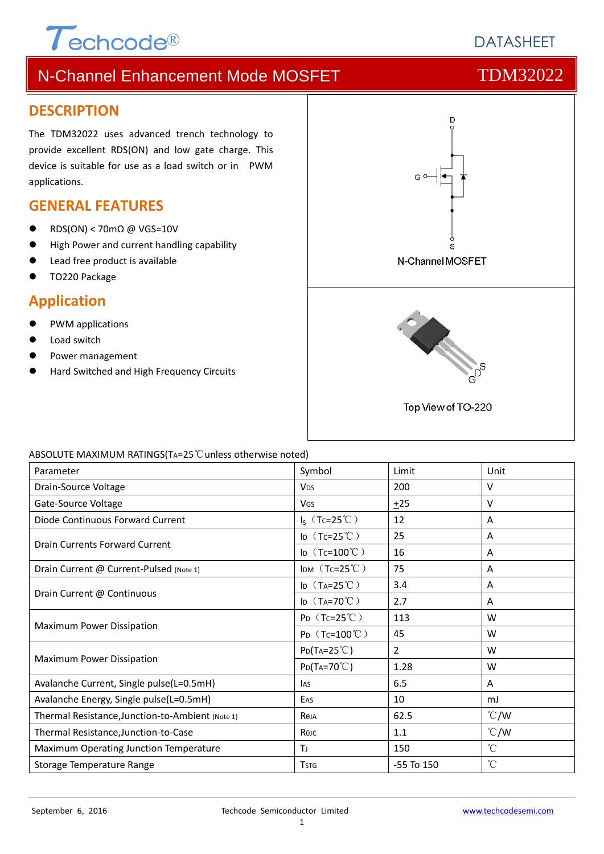# $\tau$ echcode®

**DATASHEET** 

# N-Channel Enhancement Mode MOSFET TOM32022

### **DESCRIPTION**

The TDM32022 uses advanced trench technology to provide excellent RDS(ON) and low gate charge. This device is suitable for use as a load switch or in PWM applications.

### **GENERAL FEATURES**

- RDS(ON) < 70mΩ @ VGS=10V
- **High Power and current handling capability**
- Lead free product is available
- TO220 Package

### **Application**

- PWM applications
- Load switch
- Power management
- Hard Switched and High Frequency Circuits



#### ABSOLUTE MAXIMUM RATINGS(TA=25℃unless otherwise noted)

| Parameter                                        | Symbol                  | Limit          | Unit            |
|--------------------------------------------------|-------------------------|----------------|-----------------|
| Drain-Source Voltage                             | <b>V<sub>DS</sub></b>   | 200            | v               |
| Gate-Source Voltage                              | <b>V<sub>GS</sub></b>   | ±25            | v               |
| Diode Continuous Forward Current                 | $I_S$ (Tc=25°C)         | 12             | A               |
| Drain Currents Forward Current                   | ID $(Tc=25^{\circ}C)$   | 25             | A               |
|                                                  | ID $(Tc=100^{\circ}C)$  | 16             | Α               |
| Drain Current @ Current-Pulsed (Note 1)          | IDM $(Tc=25^{\circ}C)$  | 75             | A               |
| Drain Current @ Continuous                       | ID $(T_A=25^{\circ}C)$  | 3.4            | A               |
|                                                  | ID $(T_A=70^{\circ}C)$  | 2.7            | A               |
| Maximum Power Dissipation                        | $P_D$ (Tc=25°C)         | 113            | W               |
|                                                  | $P_D$ (Tc=100°C)        | 45             | W               |
| Maximum Power Dissipation                        | $P_{D}(Ta=25^{\circ}C)$ | 2              | W               |
|                                                  | $P_{D}(Ta=70^{\circ}C)$ | 1.28           | W               |
| Avalanche Current, Single pulse(L=0.5mH)         | <b>I</b> AS             | 6.5            | A               |
| Avalanche Energy, Single pulse(L=0.5mH)          | EAS                     | 10             | mJ              |
| Thermal Resistance, Junction-to-Ambient (Note 1) | Reja                    | 62.5           | $\degree$ C/W   |
| Thermal Resistance, Junction-to-Case             | Көлс                    | 1.1            | $\degree$ C/W   |
| Maximum Operating Junction Temperature           | TJ.                     | 150            | $^{\circ}$ C    |
| Storage Temperature Range                        | <b>TSTG</b>             | $-55$ To $150$ | $\rm ^{\circ}C$ |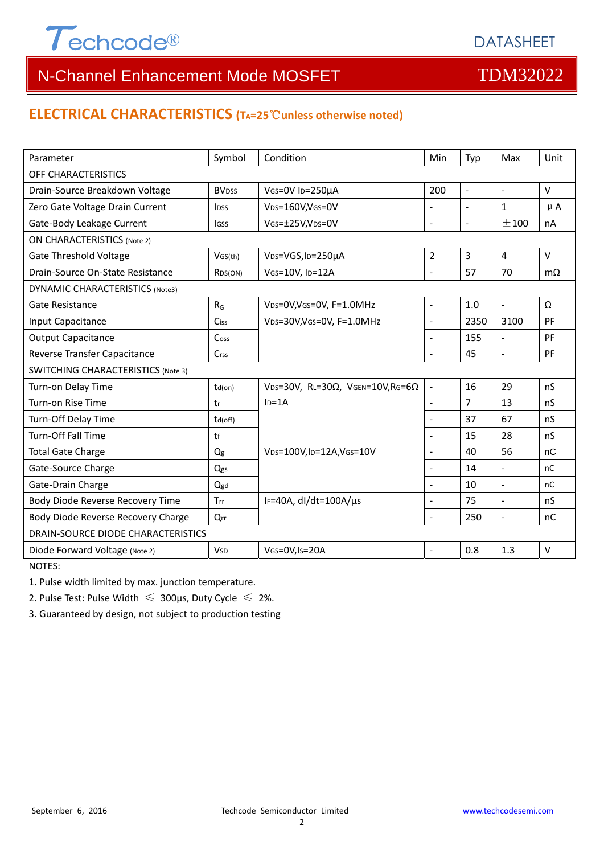

# **ELECTRICAL CHARACTERISTICS (TA=25**℃**unless otherwise noted)**

| Parameter                                 | Symbol                  | Condition                                         | Min                      | Typ            | Max                      | Unit      |  |  |
|-------------------------------------------|-------------------------|---------------------------------------------------|--------------------------|----------------|--------------------------|-----------|--|--|
| OFF CHARACTERISTICS                       |                         |                                                   |                          |                |                          |           |  |  |
|                                           | <b>BV<sub>DSS</sub></b> | VGS=0V ID=250µA<br>200<br>$\sim$                  |                          |                | $\overline{a}$           | $\vee$    |  |  |
| Drain-Source Breakdown Voltage            |                         |                                                   |                          |                |                          |           |  |  |
| Zero Gate Voltage Drain Current           | <b>IDSS</b>             | VDS=160V,VGS=0V                                   |                          | $\overline{a}$ | $\mathbf{1}$             | $\mu$ A   |  |  |
| Gate-Body Leakage Current                 | <b>IGSS</b>             | VGS=±25V,VDS=0V                                   | ÷,                       | $\Box$         | ±100                     | nA        |  |  |
| <b>ON CHARACTERISTICS (Note 2)</b>        |                         |                                                   |                          |                |                          |           |  |  |
| <b>Gate Threshold Voltage</b>             | VGS(th)                 | VDS=VGS, ID=250µA                                 | 2                        | 3              | $\overline{4}$           | $\vee$    |  |  |
| Drain-Source On-State Resistance          | R <sub>DS</sub> (ON)    | VGS=10V, ID=12A                                   | L.                       | 57             | 70                       | $m\Omega$ |  |  |
| DYNAMIC CHARACTERISTICS (Note3)           |                         |                                                   |                          |                |                          |           |  |  |
| Gate Resistance                           | $R_G$                   | VDS=0V, VGS=0V, F=1.0MHz                          | $\blacksquare$           | 1.0            | $\mathbb{L}$             | Ω         |  |  |
| Input Capacitance                         | Ciss                    | VDS=30V, VGS=0V, F=1.0MHz                         | ÷,                       | 2350           | 3100                     | PF        |  |  |
| <b>Output Capacitance</b>                 | Coss                    |                                                   | ÷.                       | 155            | $\mathbf{r}$             | PF        |  |  |
| Reverse Transfer Capacitance              | Crss                    |                                                   | ÷,                       | 45             | $\overline{a}$           | PF        |  |  |
| <b>SWITCHING CHARACTERISTICS (Note 3)</b> |                         |                                                   |                          |                |                          |           |  |  |
| Turn-on Delay Time                        | $td($ on $)$            | VDS=30V, RL=30 $\Omega$ , VGEN=10V, RG=6 $\Omega$ | $\overline{\phantom{a}}$ | 16             | 29                       | nS        |  |  |
| Turn-on Rise Time                         | tr                      | $ID=1A$                                           | $\blacksquare$           | $\overline{7}$ | 13                       | nS        |  |  |
| Turn-Off Delay Time                       | $td($ off $)$           |                                                   | $\overline{\phantom{0}}$ | 37             | 67                       | nS        |  |  |
| Turn-Off Fall Time                        | tf                      |                                                   | L,                       | 15             | 28                       | nS        |  |  |
| <b>Total Gate Charge</b>                  | Q <sub>g</sub>          | VDS=100V,ID=12A,VGS=10V                           |                          | 40             | 56                       | nC        |  |  |
| Gate-Source Charge                        | Qgs                     |                                                   |                          | 14             | $\overline{\phantom{a}}$ | nC        |  |  |
| Gate-Drain Charge                         | Qgd                     |                                                   | ÷,                       | 10             | $\overline{\phantom{a}}$ | nC        |  |  |
| Body Diode Reverse Recovery Time          | Trr                     | IF=40A, dl/dt=100A/µs                             | ÷,                       | 75             | $\overline{a}$           | nS        |  |  |
| Body Diode Reverse Recovery Charge        | Qrr                     |                                                   | ÷,                       | 250            | $\blacksquare$           | nC        |  |  |
| DRAIN-SOURCE DIODE CHARACTERISTICS        |                         |                                                   |                          |                |                          |           |  |  |
| Diode Forward Voltage (Note 2)            | <b>V</b> sp             | VGS=0V,Is=20A                                     | $\blacksquare$           | 0.8            | 1.3                      | $\vee$    |  |  |
| NOTES:                                    |                         |                                                   |                          |                |                          |           |  |  |

1. Pulse width limited by max. junction temperature.

2. Pulse Test: Pulse Width  $\leq 300$ μs, Duty Cycle  $\leq 2\%$ .

3. Guaranteed by design, not subject to production testing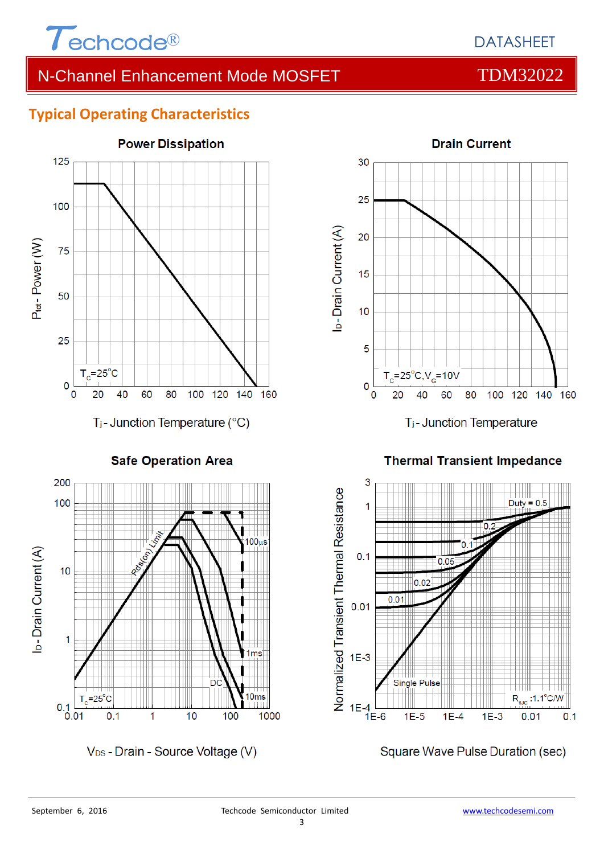

# DATASHEET

# N-Channel Enhancement Mode MOSFET TOM32022

# **Typical Operating Characteristics**



**Drain Current** 30 25 I<sub>D</sub>-Drain Current (A) 20 15  $10$ 5 25°C,V<sub>G</sub>=10V  $\mathbf 0$ 80 100 20 60 120 140 160  $\bf{0}$ 40 T<sub>j</sub>-Junction Temperature

**Safe Operation Area** 



V<sub>DS</sub> - Drain - Source Voltage (V)

**Thermal Transient Impedance** 



Square Wave Pulse Duration (sec)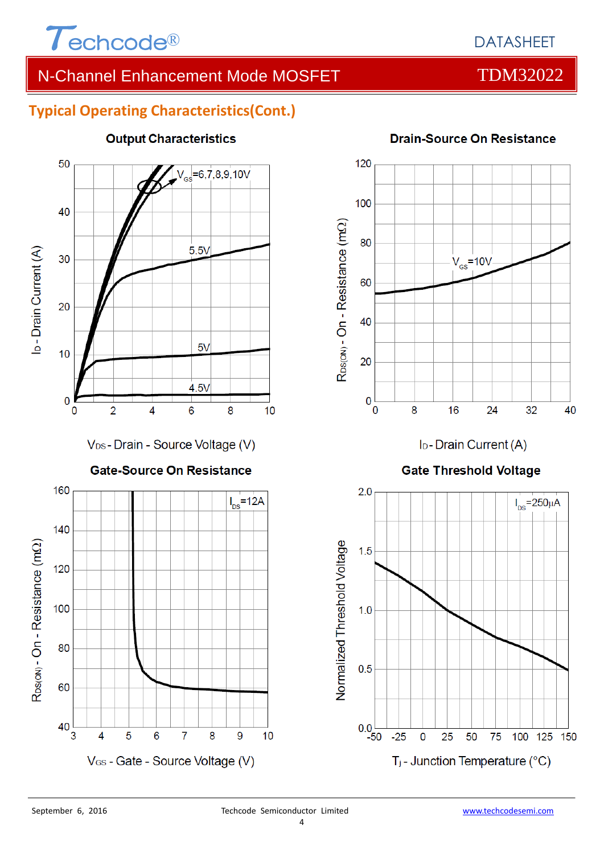

# DATASHEET

# N-Channel Enhancement Mode MOSFET TOM32022

# **Typical Operating Characteristics(Cont.)**



# **Output Characteristics**



I<sub>D</sub>-Drain Current (A)

### **Gate Threshold Voltage**



# **Drain-Source On Resistance**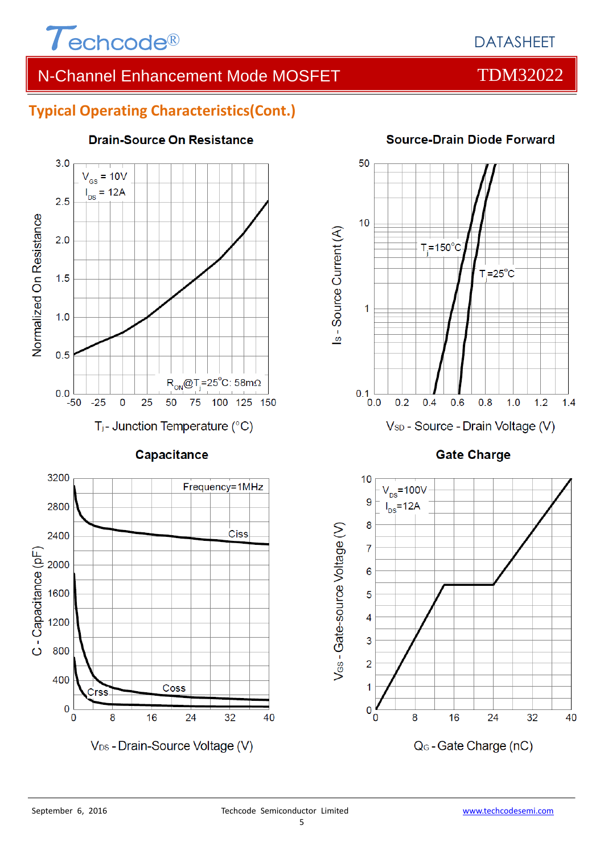

# **Typical Operating Characteristics(Cont.)**



#### **Drain-Source On Resistance**







#### **Source-Drain Diode Forward**

**Gate Charge** 

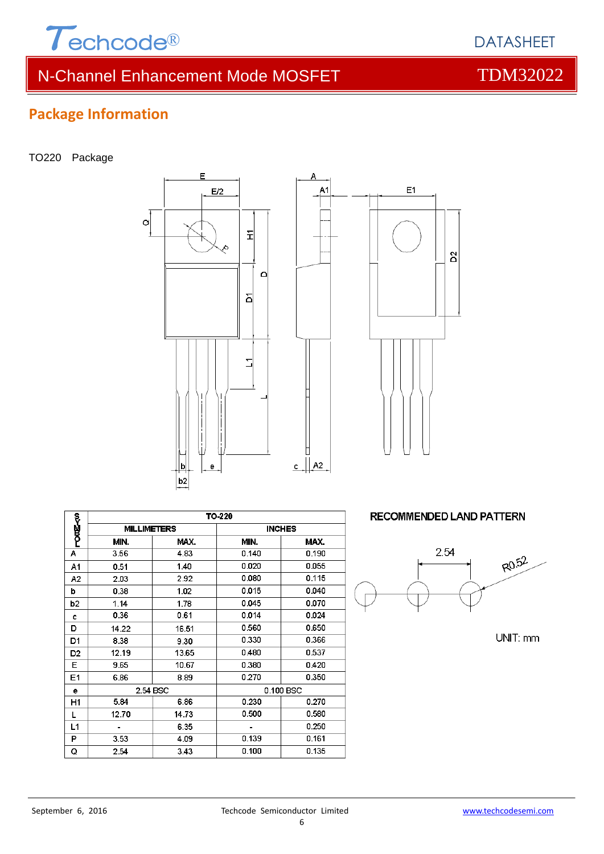

TO220 Package

**Package Information**





Δ

|                | TO-220             |       |               |       |  |  |  |
|----------------|--------------------|-------|---------------|-------|--|--|--|
| ලා@<ი          | <b>MILLIMETERS</b> |       | <b>INCHES</b> |       |  |  |  |
|                | MIN.               | MAX.  | MIN.          | MAX.  |  |  |  |
| А              | 3.56               | 4.83  | 0.140         | 0.190 |  |  |  |
| A1             | 0.51               | 1.40  | 0.020         | 0.055 |  |  |  |
| A <sub>2</sub> | 2.03               | 2.92  | 0.080         | 0.115 |  |  |  |
| b              | 0.38               | 1.02  | 0.015         | 0.040 |  |  |  |
| b2             | 1.14               | 1.78  | 0.045         | 0.070 |  |  |  |
| C              | 0.36               | 0.61  | 0.014         | 0.024 |  |  |  |
| D              | 14.22              | 16.51 | 0.560         | 0.650 |  |  |  |
| D1             | 8.38               | 9.30  | 0.330         | 0.366 |  |  |  |
| D <sub>2</sub> | 12.19              | 13.65 | 0.480         | 0.537 |  |  |  |
| Е              | 9.65               | 10.67 | 0.380         | 0.420 |  |  |  |
| E1             | 6.86               | 8.89  | 0.270         | 0.350 |  |  |  |
| е              | 2.54 BSC           |       | 0.100 BSC     |       |  |  |  |
| H1             | 5.84               | 6.86  | 0.230         | 0.270 |  |  |  |
| L              | 12.70              | 14.73 | 0.500         | 0.580 |  |  |  |
| L1             |                    | 6.35  |               | 0.250 |  |  |  |
| P              | 3.53               | 4.09  | 0.139         | 0.161 |  |  |  |
| Q              | 2.54               | 3.43  | 0.100         | 0.135 |  |  |  |

**RECOMMENDED LAND PATTERN** 



UNIT: mm



DATASHEET